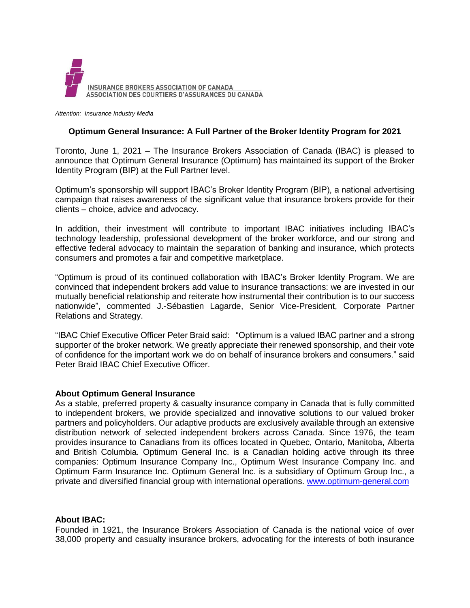

*Attention: Insurance Industry Media*

## **Optimum General Insurance: A Full Partner of the Broker Identity Program for 2021**

Toronto, June 1, 2021 – The Insurance Brokers Association of Canada (IBAC) is pleased to announce that Optimum General Insurance (Optimum) has maintained its support of the Broker Identity Program (BIP) at the Full Partner level.

Optimum's sponsorship will support IBAC's Broker Identity Program (BIP), a national advertising campaign that raises awareness of the significant value that insurance brokers provide for their clients – choice, advice and advocacy.

In addition, their investment will contribute to important IBAC initiatives including IBAC's technology leadership, professional development of the broker workforce, and our strong and effective federal advocacy to maintain the separation of banking and insurance, which protects consumers and promotes a fair and competitive marketplace.

"Optimum is proud of its continued collaboration with IBAC's Broker Identity Program. We are convinced that independent brokers add value to insurance transactions: we are invested in our mutually beneficial relationship and reiterate how instrumental their contribution is to our success nationwide", commented J.-Sébastien Lagarde, Senior Vice-President, Corporate Partner Relations and Strategy.

"IBAC Chief Executive Officer Peter Braid said: "Optimum is a valued IBAC partner and a strong supporter of the broker network. We greatly appreciate their renewed sponsorship, and their vote of confidence for the important work we do on behalf of insurance brokers and consumers." said Peter Braid IBAC Chief Executive Officer.

## **About Optimum General Insurance**

As a stable, preferred property & casualty insurance company in Canada that is fully committed to independent brokers, we provide specialized and innovative solutions to our valued broker partners and policyholders. Our adaptive products are exclusively available through an extensive distribution network of selected independent brokers across Canada. Since 1976, the team provides insurance to Canadians from its offices located in Quebec, Ontario, Manitoba, Alberta and British Columbia. Optimum General Inc. is a Canadian holding active through its three companies: Optimum Insurance Company Inc., Optimum West Insurance Company Inc. and Optimum Farm Insurance Inc. Optimum General Inc. is a subsidiary of Optimum Group Inc., a private and diversified financial group with international operations. [www.optimum-general.com](http://www.optimum-general.com/)

## **About IBAC:**

Founded in 1921, the Insurance Brokers Association of Canada is the national voice of over 38,000 property and casualty insurance brokers, advocating for the interests of both insurance